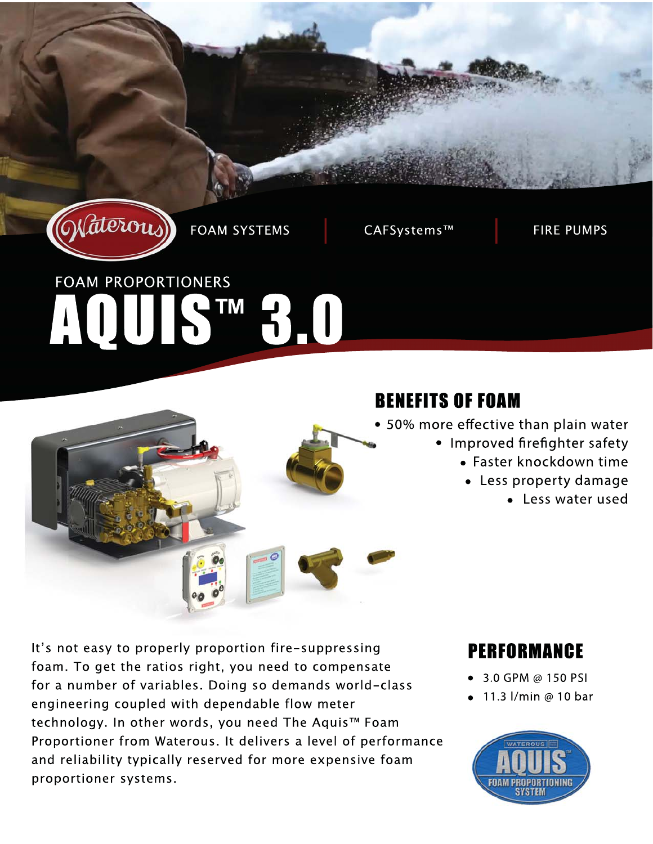

**FOAM SYSTEMS** 

CAFSystems™

**FIRE PUMPS** 

# **FOAM PROPORTIONERS** HUISTM30



## **BENEFITS OF FOAM**

- 50% more effective than plain water
	- Improved firefighter safety
		- Faster knockdown time
		- Less property damage
			- Less water used

It's not easy to properly proportion fire-suppressing foam. To get the ratios right, you need to compensate for a number of variables. Doing so demands world-class engineering coupled with dependable flow meter technology. In other words, you need The Aquis™ Foam Proportioner from Waterous. It delivers a level of performance and reliability typically reserved for more expensive foam proportioner systems.

## **PERFORMANCE**

- 3.0 GPM @ 150 PSI
- 11.3 l/min @ 10 bar

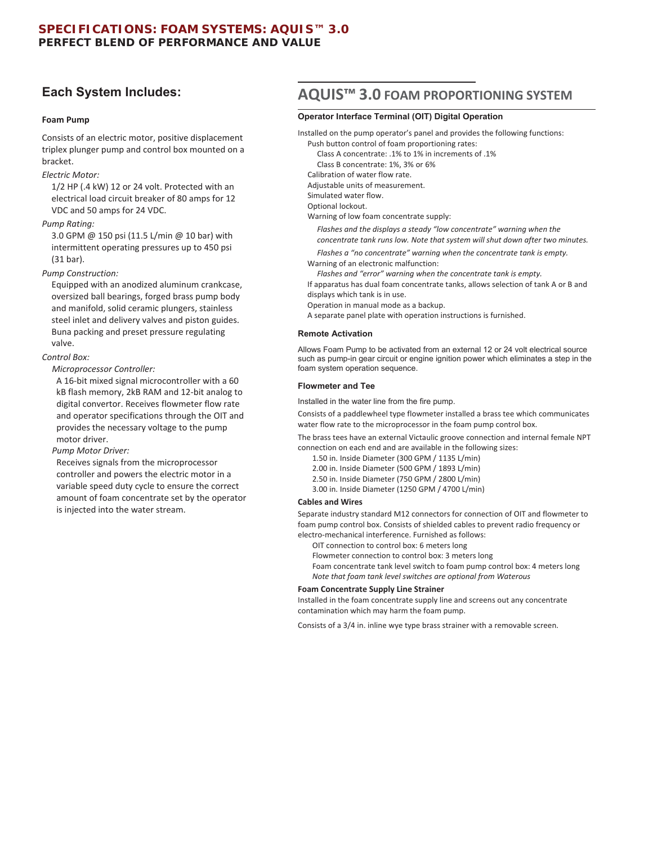#### **Foam Pump**

Consists of an electric motor, positive displacement triplex plunger pump and control box mounted on a bracket.

#### *Electric Motor:*

1/2 HP (.4 kW) 12 or 24 volt. Protected with an electrical load circuit breaker of 80 amps for 12 VDC and 50 amps for 24 VDC.

#### *Pump Rating:*

3.0 GPM @ 150 psi (11.5 L/min @ 10 bar) with intermittent operating pressures up to 450 psi (31 bar).

#### *Pump Construction:*

Equipped with an anodized aluminum crankcase, oversized ball bearings, forged brass pump body and manifold, solid ceramic plungers, stainless steel inlet and delivery valves and piston guides. Buna packing and preset pressure regulating valve.

#### *Control Box:*

*Microprocessor Controller:* 

A 16-bit mixed signal microcontroller with a 60 kB flash memory, 2kB RAM and 12-bit analog to digital convertor. Receives flowmeter flow rate and operator specifications through the OIT and provides the necessary voltage to the pump motor driver.

*Pump Motor Driver:* 

Receives signals from the microprocessor controller and powers the electric motor in a variable speed duty cycle to ensure the correct amount of foam concentrate set by the operator is injected into the water stream.

## **Each System Includes: AQUIS™ 3.0 FOAM PROPORTIONING SYSTEM**

#### **Operator Interface Terminal (OIT) Digital Operation**

Installed on the pump operator's panel and provides the following functions:

Push button control of foam proportioning rates:

Class A concentrate: .1% to 1% in increments of .1%

Class B concentrate: 1%, 3% or 6%

Calibration of water flow rate.

Adjustable units of measurement. Simulated water flow.

Optional lockout.

 $\overline{a}$ 

Warning of low foam concentrate supply:

*Flashes and the displays a steady "low concentrate" warning when the concentrate tank runs low. Note that system will shut down after two minutes.* 

*Flashes a "no concentrate" warning when the concentrate tank is empty.* 

Warning of an electronic malfunction:

*Flashes and "error" warning when the concentrate tank is empty.*

If apparatus has dual foam concentrate tanks, allows selection of tank A or B and displays which tank is in use.

Operation in manual mode as a backup.

A separate panel plate with operation instructions is furnished.

#### **Remote Activation**

Allows Foam Pump to be activated from an external 12 or 24 volt electrical source such as pump-in gear circuit or engine ignition power which eliminates a step in the foam system operation sequence.

#### **Flowmeter and Tee**

Installed in the water line from the fire pump.

Consists of a paddlewheel type flowmeter installed a brass tee which communicates water flow rate to the microprocessor in the foam pump control box.

The brass tees have an external Victaulic groove connection and internal female NPT connection on each end and are available in the following sizes:

- 1.50 in. Inside Diameter (300 GPM / 1135 L/min)
- 2.00 in. Inside Diameter (500 GPM / 1893 L/min)
- 2.50 in. Inside Diameter (750 GPM / 2800 L/min)
- 3.00 in. Inside Diameter (1250 GPM / 4700 L/min)

#### **Cables and Wires**

Separate industry standard M12 connectors for connection of OIT and flowmeter to foam pump control box. Consists of shielded cables to prevent radio frequency or electro-mechanical interference. Furnished as follows:

OIT connection to control box: 6 meters long

Flowmeter connection to control box: 3 meters long

Foam concentrate tank level switch to foam pump control box: 4 meters long *Note that foam tank level switches are optional from Waterous* 

#### **Foam Concentrate Supply Line Strainer**

Installed in the foam concentrate supply line and screens out any concentrate contamination which may harm the foam pump.

Consists of a 3/4 in. inline wye type brass strainer with a removable screen.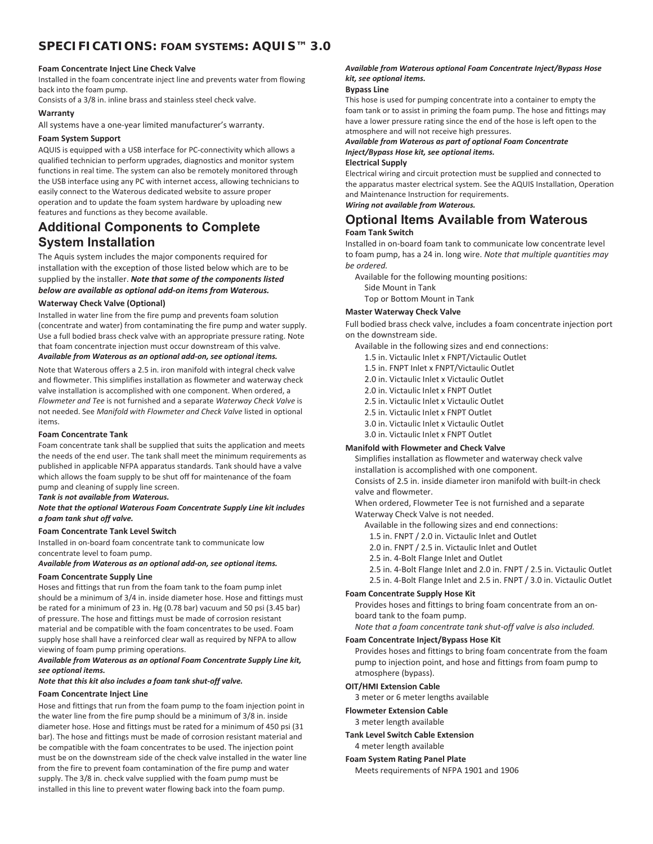### **SPECIFICATIONS: FOAM SYSTEMS: AQUIS™ 3.0**

#### **Foam Concentrate Inject Line Check Valve**

Installed in the foam concentrate inject line and prevents water from flowing back into the foam pump.

Consists of a 3/8 in. inline brass and stainless steel check valve.

#### **Warranty**

All systems have a one-year limited manufacturer's warranty.

#### **Foam System Support**

AQUIS is equipped with a USB interface for PC-connectivity which allows a qualified technician to perform upgrades, diagnostics and monitor system functions in real time. The system can also be remotely monitored through the USB interface using any PC with internet access, allowing technicians to easily connect to the Waterous dedicated website to assure proper operation and to update the foam system hardware by uploading new features and functions as they become available.

### **Additional Components to Complete System Installation**

The Aquis system includes the major components required for installation with the exception of those listed below which are to be supplied by the installer. *Note that some of the components listed below are available as optional add-on items from Waterous.* 

#### **Waterway Check Valve (Optional)**

Installed in water line from the fire pump and prevents foam solution (concentrate and water) from contaminating the fire pump and water supply. Use a full bodied brass check valve with an appropriate pressure rating. Note that foam concentrate injection must occur downstream of this valve. *Available from Waterous as an optional add-on, see optional items.* 

Note that Waterous offers a 2.5 in. iron manifold with integral check valve and flowmeter. This simplifies installation as flowmeter and waterway check valve installation is accomplished with one component. When ordered, a *Flowmeter and Tee* is not furnished and a separate *Waterway Check Valve* is not needed. See *Manifold with Flowmeter and Check Valve* listed in optional items.

#### **Foam Concentrate Tank**

Foam concentrate tank shall be supplied that suits the application and meets the needs of the end user. The tank shall meet the minimum requirements as published in applicable NFPA apparatus standards. Tank should have a valve which allows the foam supply to be shut off for maintenance of the foam pump and cleaning of supply line screen.

*Tank is not available from Waterous.* 

*Note that the optional Waterous Foam Concentrate Supply Line kit includes a foam tank shut off valve.* 

#### **Foam Concentrate Tank Level Switch**

Installed in on-board foam concentrate tank to communicate low concentrate level to foam pump.

*Available from Waterous as an optional add-on, see optional items.* 

#### **Foam Concentrate Supply Line**

Hoses and fittings that run from the foam tank to the foam pump inlet should be a minimum of 3/4 in. inside diameter hose. Hose and fittings must be rated for a minimum of 23 in. Hg (0.78 bar) vacuum and 50 psi (3.45 bar) of pressure. The hose and fittings must be made of corrosion resistant material and be compatible with the foam concentrates to be used. Foam supply hose shall have a reinforced clear wall as required by NFPA to allow viewing of foam pump priming operations.

#### *Available from Waterous as an optional Foam Concentrate Supply Line kit, see optional items.*

#### *Note that this kit also includes a foam tank shut-off valve.*

#### **Foam Concentrate Inject Line**

Hose and fittings that run from the foam pump to the foam injection point in the water line from the fire pump should be a minimum of 3/8 in. inside diameter hose. Hose and fittings must be rated for a minimum of 450 psi (31 bar). The hose and fittings must be made of corrosion resistant material and be compatible with the foam concentrates to be used. The injection point must be on the downstream side of the check valve installed in the water line from the fire to prevent foam contamination of the fire pump and water supply. The 3/8 in. check valve supplied with the foam pump must be installed in this line to prevent water flowing back into the foam pump.

#### *Available from Waterous optional Foam Concentrate Inject/Bypass Hose kit, see optional items.*

#### **Bypass Line**

This hose is used for pumping concentrate into a container to empty the foam tank or to assist in priming the foam pump. The hose and fittings may have a lower pressure rating since the end of the hose is left open to the atmosphere and will not receive high pressures.

#### *Available from Waterous as part of optional Foam Concentrate Inject/Bypass Hose kit, see optional items.*

#### **Electrical Supply**

Electrical wiring and circuit protection must be supplied and connected to the apparatus master electrical system. See the AQUIS Installation, Operation and Maintenance Instruction for requirements. *Wiring not available from Waterous.*

## **Optional Items Available from Waterous**

#### **Foam Tank Switch**

Installed in on-board foam tank to communicate low concentrate level to foam pump, has a 24 in. long wire. *Note that multiple quantities may be ordered.* 

- Available for the following mounting positions:
	- Side Mount in Tank
	- Top or Bottom Mount in Tank

#### **Master Waterway Check Valve**

Full bodied brass check valve, includes a foam concentrate injection port on the downstream side.

- Available in the following sizes and end connections:
	- 1.5 in. Victaulic Inlet x FNPT/Victaulic Outlet
	- 1.5 in. FNPT Inlet x FNPT/Victaulic Outlet
	- 2.0 in. Victaulic Inlet x Victaulic Outlet
	- 2.0 in. Victaulic Inlet x FNPT Outlet
	- 2.5 in. Victaulic Inlet x Victaulic Outlet
	- 2.5 in. Victaulic Inlet x FNPT Outlet
	- 3.0 in. Victaulic Inlet x Victaulic Outlet
	- 3.0 in. Victaulic Inlet x FNPT Outlet
- **Manifold with Flowmeter and Check Valve**

Simplifies installation as flowmeter and waterway check valve installation is accomplished with one component.

Consists of 2.5 in. inside diameter iron manifold with built-in check valve and flowmeter.

When ordered, Flowmeter Tee is not furnished and a separate Waterway Check Valve is not needed.

- Available in the following sizes and end connections:
- 1.5 in. FNPT / 2.0 in. Victaulic Inlet and Outlet
- 2.0 in. FNPT / 2.5 in. Victaulic Inlet and Outlet
- 2.5 in. 4-Bolt Flange Inlet and Outlet
- 2.5 in. 4-Bolt Flange Inlet and 2.0 in. FNPT / 2.5 in. Victaulic Outlet
- 2.5 in. 4-Bolt Flange Inlet and 2.5 in. FNPT / 3.0 in. Victaulic Outlet

#### **Foam Concentrate Supply Hose Kit**

Provides hoses and fittings to bring foam concentrate from an onboard tank to the foam pump.

*Note that a foam concentrate tank shut-off valve is also included.* 

#### **Foam Concentrate Inject/Bypass Hose Kit**

Provides hoses and fittings to bring foam concentrate from the foam pump to injection point, and hose and fittings from foam pump to atmosphere (bypass).

#### **OIT/HMI Extension Cable**

3 meter or 6 meter lengths available

#### **Flowmeter Extension Cable**

3 meter length available

**Tank Level Switch Cable Extension**  4 meter length available

#### **Foam System Rating Panel Plate**

Meets requirements of NFPA 1901 and 1906